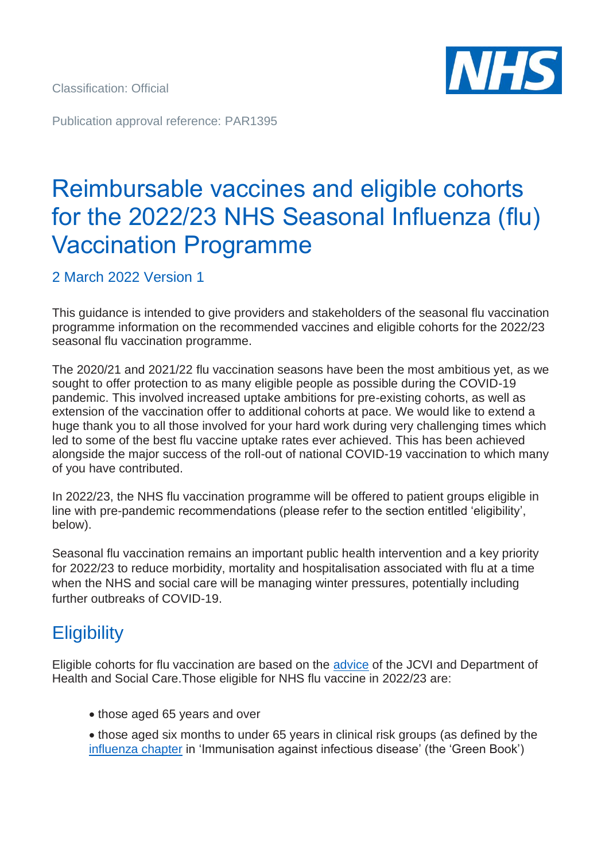Classification: Official

Publication approval reference: PAR1395

# Reimbursable vaccines and eligible cohorts for the 2022/23 NHS Seasonal Influenza (flu) Vaccination Programme

2 March 2022 Version 1

This guidance is intended to give providers and stakeholders of the seasonal flu vaccination programme information on the recommended vaccines and eligible cohorts for the 2022/23 seasonal flu vaccination programme.

The 2020/21 and 2021/22 flu vaccination seasons have been the most ambitious yet, as we sought to offer protection to as many eligible people as possible during the COVID-19 pandemic. This involved increased uptake ambitions for pre-existing cohorts, as well as extension of the vaccination offer to additional cohorts at pace. We would like to extend a huge thank you to all those involved for your hard work during very challenging times which led to some of the best flu vaccine uptake rates ever achieved. This has been achieved alongside the major success of the roll-out of national COVID-19 vaccination to which many of you have contributed.

In 2022/23, the NHS flu vaccination programme will be offered to patient groups eligible in line with pre-pandemic recommendations (please refer to the section entitled 'eligibility', below).

Seasonal flu vaccination remains an important public health intervention and a key priority for 2022/23 to reduce morbidity, mortality and hospitalisation associated with flu at a time when the NHS and social care will be managing winter pressures, potentially including further outbreaks of COVID-19.

## **Eligibility**

Eligible cohorts for flu vaccination are based on the [advice](https://www.gov.uk/government/groups/joint-committee-on-vaccination-and-immunisation) of the JCVI and Department of Health and Social Care.Those eligible for NHS flu vaccine in 2022/23 are:

- those aged 65 years and over
- those aged six months to under 65 years in clinical risk groups (as defined by the [influenza chapter](http://www.gov.uk/government/publications/influenza-the-green-book-chapter-19) in 'Immunisation against infectious disease' (the 'Green Book')

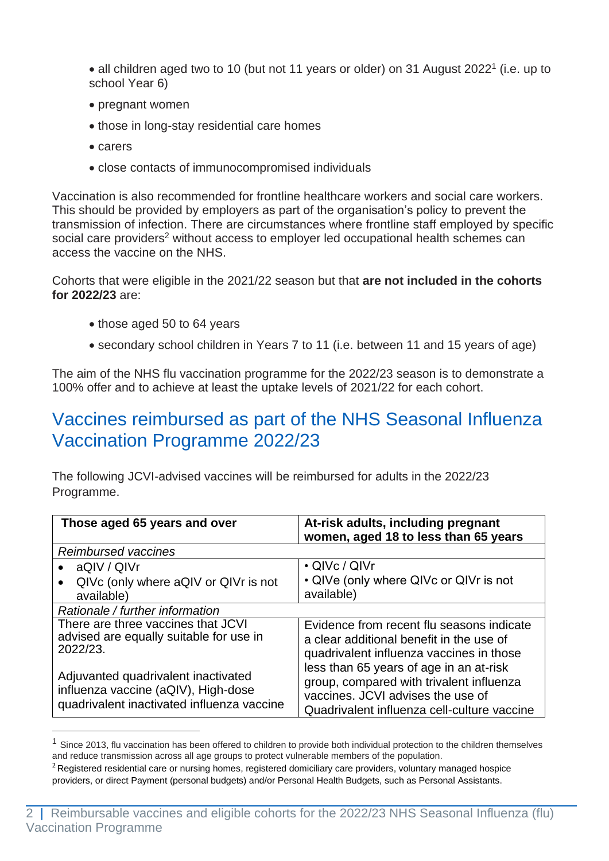• all children aged two to 10 (but not 11 years or older) on 31 August 2022<sup>1</sup> (i.e. up to school Year 6)

- pregnant women
- those in long-stay residential care homes
- carers
- close contacts of immunocompromised individuals

Vaccination is also recommended for frontline healthcare workers and social care workers. This should be provided by employers as part of the organisation's policy to prevent the transmission of infection. There are circumstances where frontline staff employed by specific social care providers<sup>2</sup> without access to employer led occupational health schemes can access the vaccine on the NHS.

Cohorts that were eligible in the 2021/22 season but that **are not included in the cohorts for 2022/23** are:

- those aged 50 to 64 years
- secondary school children in Years 7 to 11 (i.e. between 11 and 15 years of age)

The aim of the NHS flu vaccination programme for the 2022/23 season is to demonstrate a 100% offer and to achieve at least the uptake levels of 2021/22 for each cohort.

### Vaccines reimbursed as part of the NHS Seasonal Influenza Vaccination Programme 2022/23

The following JCVI-advised vaccines will be reimbursed for adults in the 2022/23 Programme.

| Those aged 65 years and over                                                                                             | At-risk adults, including pregnant<br>women, aged 18 to less than 65 years                                                                                              |
|--------------------------------------------------------------------------------------------------------------------------|-------------------------------------------------------------------------------------------------------------------------------------------------------------------------|
| <b>Reimbursed vaccines</b>                                                                                               |                                                                                                                                                                         |
| aQIV / QIVr                                                                                                              | • QIVc / QIVr                                                                                                                                                           |
| QIVc (only where aQIV or QIV r is not<br>available)                                                                      | • QIVe (only where QIVc or QIVr is not<br>available)                                                                                                                    |
| Rationale / further information                                                                                          |                                                                                                                                                                         |
| There are three vaccines that JCVI<br>advised are equally suitable for use in<br>2022/23.                                | Evidence from recent flu seasons indicate<br>a clear additional benefit in the use of<br>quadrivalent influenza vaccines in those                                       |
| Adjuvanted quadrivalent inactivated<br>influenza vaccine (aQIV), High-dose<br>quadrivalent inactivated influenza vaccine | less than 65 years of age in an at-risk<br>group, compared with trivalent influenza<br>vaccines. JCVI advises the use of<br>Quadrivalent influenza cell-culture vaccine |

Since 2013, flu vaccination has been offered to children to provide both individual protection to the children themselves and reduce transmission across all age groups to protect vulnerable members of the population.

 $<sup>2</sup>$  Registered residential care or nursing homes, registered domiciliary care providers, voluntary managed hospice</sup> providers, or direct Payment (personal budgets) and/or Personal Health Budgets, such as Personal Assistants.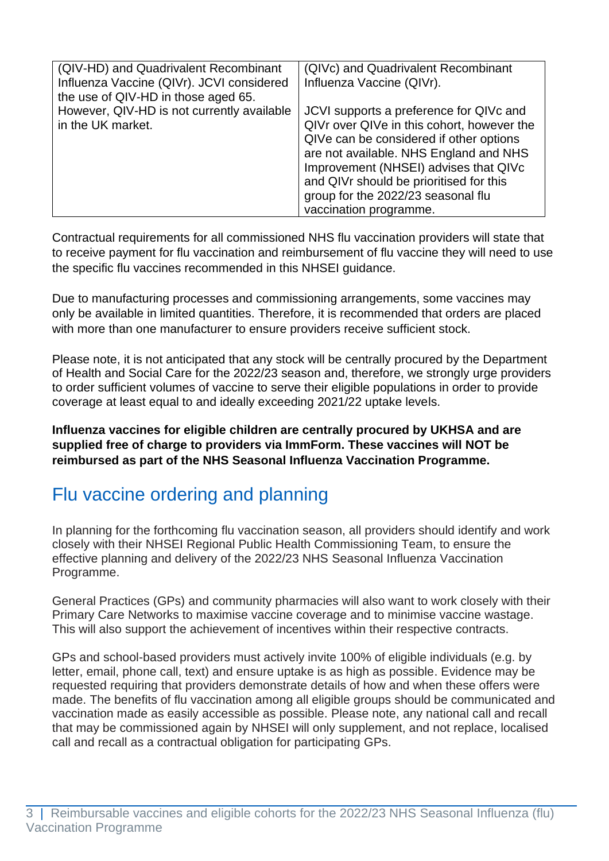| (QIV-HD) and Quadrivalent Recombinant<br>Influenza Vaccine (QIVr). JCVI considered<br>the use of QIV-HD in those aged 65. | (QIVc) and Quadrivalent Recombinant<br>Influenza Vaccine (QIVr).                                                                                                                                                                                                                                                               |
|---------------------------------------------------------------------------------------------------------------------------|--------------------------------------------------------------------------------------------------------------------------------------------------------------------------------------------------------------------------------------------------------------------------------------------------------------------------------|
| However, QIV-HD is not currently available<br>in the UK market.                                                           | JCVI supports a preference for QIVc and<br>QIVr over QIVe in this cohort, however the<br>QIVe can be considered if other options<br>are not available. NHS England and NHS<br>Improvement (NHSEI) advises that QIVc<br>and QIVr should be prioritised for this<br>group for the 2022/23 seasonal flu<br>vaccination programme. |

Contractual requirements for all commissioned NHS flu vaccination providers will state that to receive payment for flu vaccination and reimbursement of flu vaccine they will need to use the specific flu vaccines recommended in this NHSEI guidance.

Due to manufacturing processes and commissioning arrangements, some vaccines may only be available in limited quantities. Therefore, it is recommended that orders are placed with more than one manufacturer to ensure providers receive sufficient stock.

Please note, it is not anticipated that any stock will be centrally procured by the Department of Health and Social Care for the 2022/23 season and, therefore, we strongly urge providers to order sufficient volumes of vaccine to serve their eligible populations in order to provide coverage at least equal to and ideally exceeding 2021/22 uptake levels.

**Influenza vaccines for eligible children are centrally procured by UKHSA and are supplied free of charge to providers via ImmForm. These vaccines will NOT be reimbursed as part of the NHS Seasonal Influenza Vaccination Programme.** 

# Flu vaccine ordering and planning

In planning for the forthcoming flu vaccination season, all providers should identify and work closely with their NHSEI Regional Public Health Commissioning Team, to ensure the effective planning and delivery of the 2022/23 NHS Seasonal Influenza Vaccination Programme.

General Practices (GPs) and community pharmacies will also want to work closely with their Primary Care Networks to maximise vaccine coverage and to minimise vaccine wastage. This will also support the achievement of incentives within their respective contracts.

GPs and school-based providers must actively invite 100% of eligible individuals (e.g. by letter, email, phone call, text) and ensure uptake is as high as possible. Evidence may be requested requiring that providers demonstrate details of how and when these offers were made. The benefits of flu vaccination among all eligible groups should be communicated and vaccination made as easily accessible as possible. Please note, any national call and recall that may be commissioned again by NHSEI will only supplement, and not replace, localised call and recall as a contractual obligation for participating GPs.